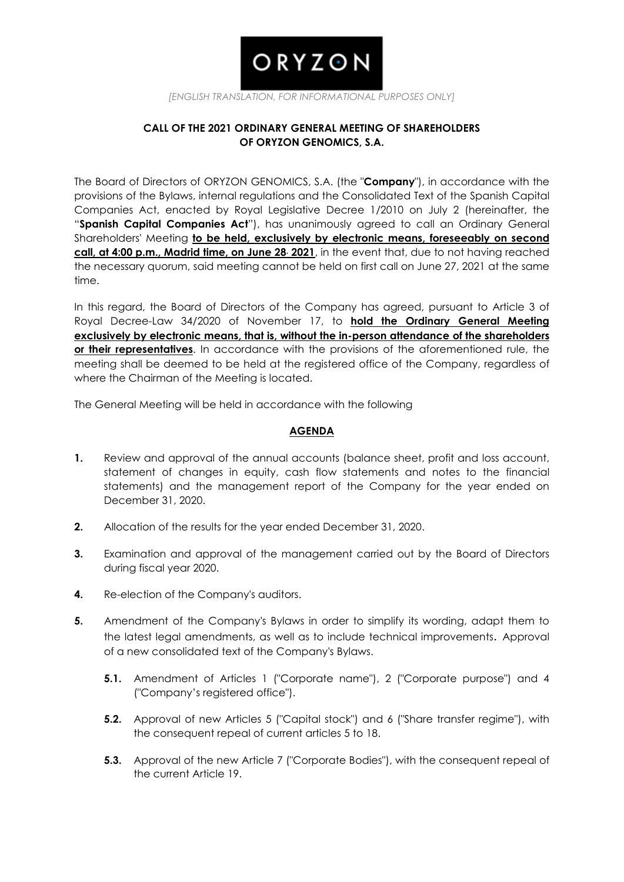# ORYZON

*[ENGLISH TRANSLATION, FOR INFORMATIONAL PURPOSES ONLY]*

# **CALL OF THE 2021 ORDINARY GENERAL MEETING OF SHAREHOLDERS OF ORYZON GENOMICS, S.A.**

The Board of Directors of ORYZON GENOMICS, S.A. (the "**Company**"), in accordance with the provisions of the Bylaws, internal regulations and the Consolidated Text of the Spanish Capital Companies Act, enacted by Royal Legislative Decree 1/2010 on July 2 (hereinafter, the "**Spanish Capital Companies Act**"), has unanimously agreed to call an Ordinary General Shareholders' Meeting **to be held, exclusively by electronic means, foreseeably on second call, at 4:00 p.m., Madrid time, on June 28, 2021**, in the event that, due to not having reached the necessary quorum, said meeting cannot be held on first call on June 27, 2021 at the same time.

In this regard, the Board of Directors of the Company has agreed, pursuant to Article 3 of Royal Decree-Law 34/2020 of November 17, to **hold the Ordinary General Meeting exclusively by electronic means, that is, without the in-person attendance of the shareholders or their representatives**. In accordance with the provisions of the aforementioned rule, the meeting shall be deemed to be held at the registered office of the Company, regardless of where the Chairman of the Meeting is located.

The General Meeting will be held in accordance with the following

# **AGENDA**

- **1.** Review and approval of the annual accounts (balance sheet, profit and loss account, statement of changes in equity, cash flow statements and notes to the financial statements) and the management report of the Company for the year ended on December 31, 2020.
- **2.** Allocation of the results for the year ended December 31, 2020.
- **3.** Examination and approval of the management carried out by the Board of Directors during fiscal year 2020.
- **4.** Re-election of the Company's auditors.
- **5.** Amendment of the Company's Bylaws in order to simplify its wording, adapt them to the latest legal amendments, as well as to include technical improvements. Approval of a new consolidated text of the Company's Bylaws.
	- **5.1.** Amendment of Articles 1 ("Corporate name"), 2 ("Corporate purpose") and 4 ("Company's registered office").
	- **5.2.** Approval of new Articles 5 ("Capital stock") and 6 ("Share transfer regime"), with the consequent repeal of current articles 5 to 18.
	- **5.3.** Approval of the new Article 7 ("Corporate Bodies"), with the consequent repeal of the current Article 19.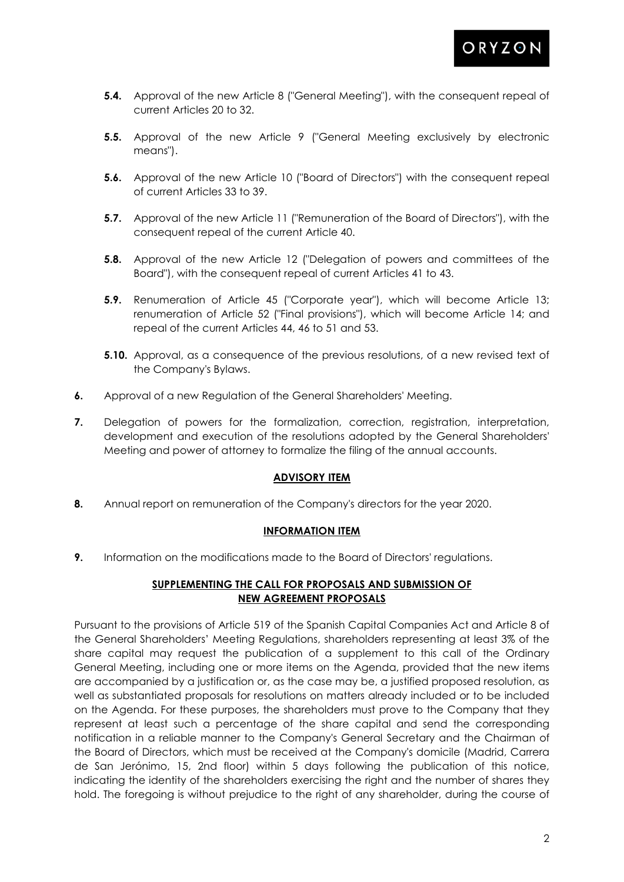- **5.4.** Approval of the new Article 8 ("General Meeting"), with the consequent repeal of current Articles 20 to 32.
- **5.5.** Approval of the new Article 9 ("General Meeting exclusively by electronic means").
- **5.6.** Approval of the new Article 10 ("Board of Directors") with the consequent repeal of current Articles 33 to 39.
- **5.7.** Approval of the new Article 11 ("Remuneration of the Board of Directors"), with the consequent repeal of the current Article 40.
- **5.8.** Approval of the new Article 12 ("Delegation of powers and committees of the Board"), with the consequent repeal of current Articles 41 to 43.
- **5.9.** Renumeration of Article 45 ("Corporate year"), which will become Article 13; renumeration of Article 52 ("Final provisions"), which will become Article 14; and repeal of the current Articles 44, 46 to 51 and 53.
- **5.10.** Approval, as a consequence of the previous resolutions, of a new revised text of the Company's Bylaws.
- **6.** Approval of a new Regulation of the General Shareholders' Meeting.
- **7.** Delegation of powers for the formalization, correction, registration, interpretation, development and execution of the resolutions adopted by the General Shareholders' Meeting and power of attorney to formalize the filing of the annual accounts.

## **ADVISORY ITEM**

**8.** Annual report on remuneration of the Company's directors for the year 2020.

# **INFORMATION ITEM**

**9.** Information on the modifications made to the Board of Directors' regulations.

# **SUPPLEMENTING THE CALL FOR PROPOSALS AND SUBMISSION OF NEW AGREEMENT PROPOSALS**

Pursuant to the provisions of Article 519 of the Spanish Capital Companies Act and Article 8 of the General Shareholders' Meeting Regulations, shareholders representing at least 3% of the share capital may request the publication of a supplement to this call of the Ordinary General Meeting, including one or more items on the Agenda, provided that the new items are accompanied by a justification or, as the case may be, a justified proposed resolution, as well as substantiated proposals for resolutions on matters already included or to be included on the Agenda. For these purposes, the shareholders must prove to the Company that they represent at least such a percentage of the share capital and send the corresponding notification in a reliable manner to the Company's General Secretary and the Chairman of the Board of Directors, which must be received at the Company's domicile (Madrid, Carrera de San Jerónimo, 15, 2nd floor) within 5 days following the publication of this notice, indicating the identity of the shareholders exercising the right and the number of shares they hold. The foregoing is without prejudice to the right of any shareholder, during the course of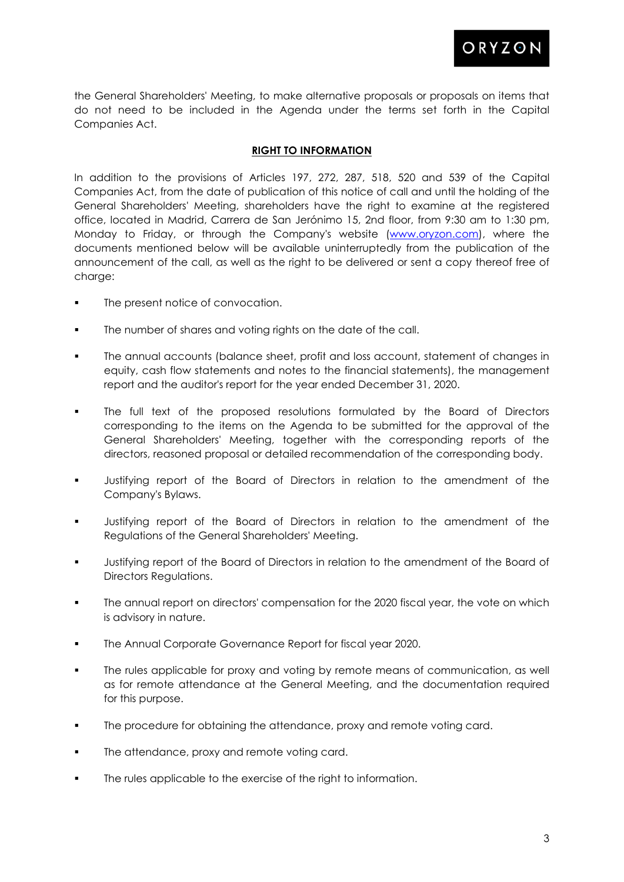

the General Shareholders' Meeting, to make alternative proposals or proposals on items that do not need to be included in the Agenda under the terms set forth in the Capital Companies Act.

# **RIGHT TO INFORMATION**

In addition to the provisions of Articles 197, 272, 287, 518, 520 and 539 of the Capital Companies Act, from the date of publication of this notice of call and until the holding of the General Shareholders' Meeting, shareholders have the right to examine at the registered office, located in Madrid, Carrera de San Jerónimo 15, 2nd floor, from 9:30 am to 1:30 pm, Monday to Friday, or through the Company's website [\(www.oryzon.com\)](http://www.oryzon.com/), where the documents mentioned below will be available uninterruptedly from the publication of the announcement of the call, as well as the right to be delivered or sent a copy thereof free of charge:

- The present notice of convocation.
- **The number of shares and voting rights on the date of the call.**
- The annual accounts (balance sheet, profit and loss account, statement of changes in equity, cash flow statements and notes to the financial statements), the management report and the auditor's report for the year ended December 31, 2020.
- The full text of the proposed resolutions formulated by the Board of Directors corresponding to the items on the Agenda to be submitted for the approval of the General Shareholders' Meeting, together with the corresponding reports of the directors, reasoned proposal or detailed recommendation of the corresponding body.
- Justifying report of the Board of Directors in relation to the amendment of the Company's Bylaws.
- Justifying report of the Board of Directors in relation to the amendment of the Regulations of the General Shareholders' Meeting.
- Justifying report of the Board of Directors in relation to the amendment of the Board of Directors Regulations.
- The annual report on directors' compensation for the 2020 fiscal year, the vote on which is advisory in nature.
- The Annual Corporate Governance Report for fiscal year 2020.
- The rules applicable for proxy and voting by remote means of communication, as well as for remote attendance at the General Meeting, and the documentation required for this purpose.
- **The procedure for obtaining the attendance, proxy and remote voting card.**
- The attendance, proxy and remote voting card.
- The rules applicable to the exercise of the right to information.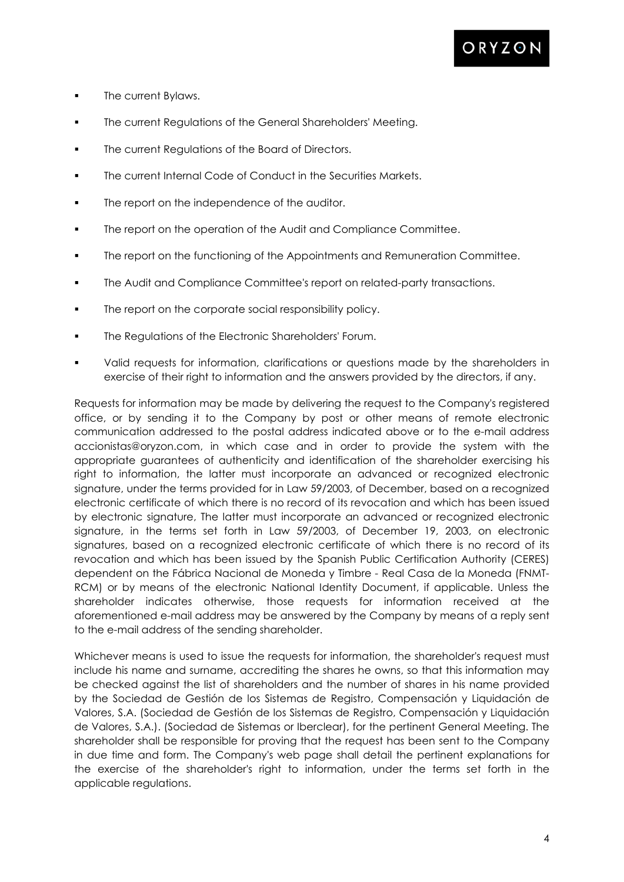

- **The current Bylaws.**
- **The current Regulations of the General Shareholders' Meeting.**
- **The current Regulations of the Board of Directors.**
- **The current Internal Code of Conduct in the Securities Markets.**
- The report on the independence of the auditor.
- The report on the operation of the Audit and Compliance Committee.
- The report on the functioning of the Appointments and Remuneration Committee.
- The Audit and Compliance Committee's report on related-party transactions.
- The report on the corporate social responsibility policy.
- **The Regulations of the Electronic Shareholders' Forum.**
- Valid requests for information, clarifications or questions made by the shareholders in exercise of their right to information and the answers provided by the directors, if any.

Requests for information may be made by delivering the request to the Company's registered office, or by sending it to the Company by post or other means of remote electronic communication addressed to the postal address indicated above or to the e-mail address accionistas@oryzon.com, in which case and in order to provide the system with the appropriate guarantees of authenticity and identification of the shareholder exercising his right to information, the latter must incorporate an advanced or recognized electronic signature, under the terms provided for in Law 59/2003, of December, based on a recognized electronic certificate of which there is no record of its revocation and which has been issued by electronic signature, The latter must incorporate an advanced or recognized electronic signature, in the terms set forth in Law 59/2003, of December 19, 2003, on electronic signatures, based on a recognized electronic certificate of which there is no record of its revocation and which has been issued by the Spanish Public Certification Authority (CERES) dependent on the Fábrica Nacional de Moneda y Timbre - Real Casa de la Moneda (FNMT-RCM) or by means of the electronic National Identity Document, if applicable. Unless the shareholder indicates otherwise, those requests for information received at the aforementioned e-mail address may be answered by the Company by means of a reply sent to the e-mail address of the sending shareholder.

Whichever means is used to issue the requests for information, the shareholder's request must include his name and surname, accrediting the shares he owns, so that this information may be checked against the list of shareholders and the number of shares in his name provided by the Sociedad de Gestión de los Sistemas de Registro, Compensación y Liquidación de Valores, S.A. (Sociedad de Gestión de los Sistemas de Registro, Compensación y Liquidación de Valores, S.A.). (Sociedad de Sistemas or Iberclear), for the pertinent General Meeting. The shareholder shall be responsible for proving that the request has been sent to the Company in due time and form. The Company's web page shall detail the pertinent explanations for the exercise of the shareholder's right to information, under the terms set forth in the applicable regulations.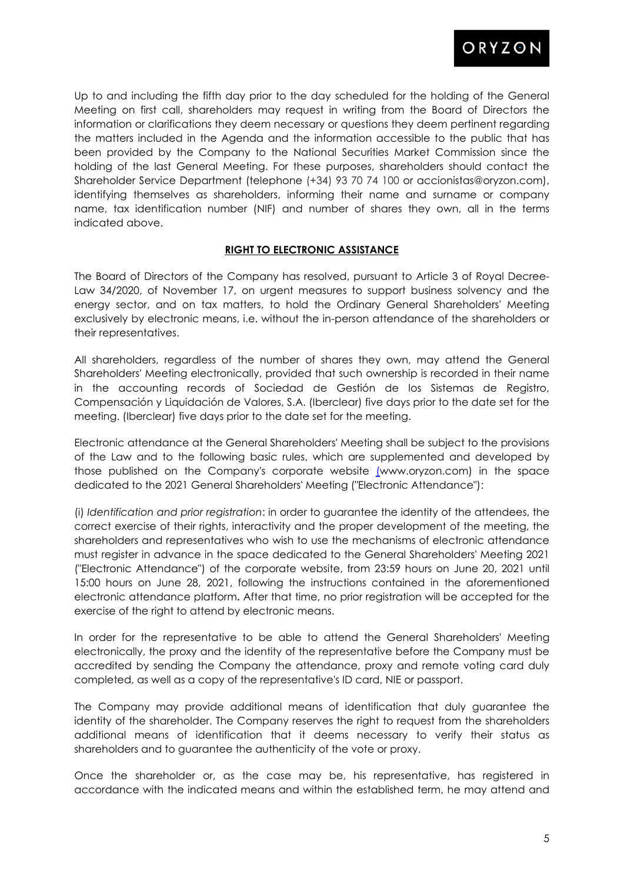

Up to and including the fifth day prior to the day scheduled for the holding of the General Meeting on first call, shareholders may request in writing from the Board of Directors the information or clarifications they deem necessary or questions they deem pertinent regarding the matters included in the Agenda and the information accessible to the public that has been provided by the Company to the National Securities Market Commission since the holding of the last General Meeting. For these purposes, shareholders should contact the Shareholder Service Department (telephone (+34) 93 70 74 100 or accionistas@oryzon.com), identifying themselves as shareholders, informing their name and surname or company name, tax identification number (NIF) and number of shares they own, all in the terms indicated above.

## **RIGHT TO ELECTRONIC ASSISTANCE**

The Board of Directors of the Company has resolved, pursuant to Article 3 of Royal Decree-Law 34/2020, of November 17, on urgent measures to support business solvency and the energy sector, and on tax matters, to hold the Ordinary General Shareholders' Meeting exclusively by electronic means, i.e. without the in-person attendance of the shareholders or their representatives.

All shareholders, regardless of the number of shares they own, may attend the General Shareholders' Meeting electronically, provided that such ownership is recorded in their name in the accounting records of Sociedad de Gestión de los Sistemas de Registro, Compensación y Liquidación de Valores, S.A. (Iberclear) five days prior to the date set for the meeting. (Iberclear) five days prior to the date set for the meeting.

Electronic attendance at the General Shareholders' Meeting shall be subject to the provisions of the Law and to the following basic rules, which are supplemented and developed by those published on the Company's corporate website [\(w](http://www.oryzon.com/)ww.oryzon.com) in the space dedicated to the 2021 General Shareholders' Meeting ("Electronic Attendance"):

(i) *Identification and prior registration*: in order to guarantee the identity of the attendees, the correct exercise of their rights, interactivity and the proper development of the meeting, the shareholders and representatives who wish to use the mechanisms of electronic attendance must register in advance in the space dedicated to the General Shareholders' Meeting 2021 ("Electronic Attendance") of the corporate website, from 23:59 hours on June 20, 2021 until 15:00 hours on June 28, 2021, following the instructions contained in the aforementioned electronic attendance platform**.** After that time, no prior registration will be accepted for the exercise of the right to attend by electronic means.

In order for the representative to be able to attend the General Shareholders' Meeting electronically, the proxy and the identity of the representative before the Company must be accredited by sending the Company the attendance, proxy and remote voting card duly completed, as well as a copy of the representative's ID card, NIE or passport.

The Company may provide additional means of identification that duly guarantee the identity of the shareholder. The Company reserves the right to request from the shareholders additional means of identification that it deems necessary to verify their status as shareholders and to guarantee the authenticity of the vote or proxy.

Once the shareholder or, as the case may be, his representative, has registered in accordance with the indicated means and within the established term, he may attend and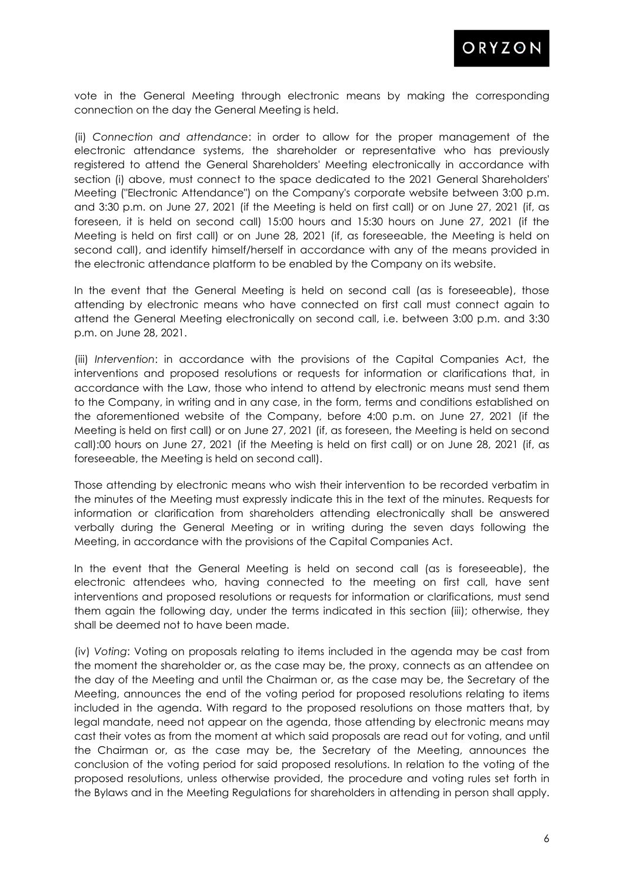

vote in the General Meeting through electronic means by making the corresponding connection on the day the General Meeting is held.

(ii) *Connection and attendance*: in order to allow for the proper management of the electronic attendance systems, the shareholder or representative who has previously registered to attend the General Shareholders' Meeting electronically in accordance with section (i) above, must connect to the space dedicated to the 2021 General Shareholders' Meeting ("Electronic Attendance") on the Company's corporate website between 3:00 p.m. and 3:30 p.m. on June 27, 2021 (if the Meeting is held on first call) or on June 27, 2021 (if, as foreseen, it is held on second call) 15:00 hours and 15:30 hours on June 27, 2021 (if the Meeting is held on first call) or on June 28, 2021 (if, as foreseeable, the Meeting is held on second call), and identify himself/herself in accordance with any of the means provided in the electronic attendance platform to be enabled by the Company on its website.

In the event that the General Meeting is held on second call (as is foreseeable), those attending by electronic means who have connected on first call must connect again to attend the General Meeting electronically on second call, i.e. between 3:00 p.m. and 3:30 p.m. on June 28, 2021.

(iii) *Intervention*: in accordance with the provisions of the Capital Companies Act, the interventions and proposed resolutions or requests for information or clarifications that, in accordance with the Law, those who intend to attend by electronic means must send them to the Company, in writing and in any case, in the form, terms and conditions established on the aforementioned website of the Company, before 4:00 p.m. on June 27, 2021 (if the Meeting is held on first call) or on June 27, 2021 (if, as foreseen, the Meeting is held on second call):00 hours on June 27, 2021 (if the Meeting is held on first call) or on June 28, 2021 (if, as foreseeable, the Meeting is held on second call).

Those attending by electronic means who wish their intervention to be recorded verbatim in the minutes of the Meeting must expressly indicate this in the text of the minutes. Requests for information or clarification from shareholders attending electronically shall be answered verbally during the General Meeting or in writing during the seven days following the Meeting, in accordance with the provisions of the Capital Companies Act.

In the event that the General Meeting is held on second call (as is foreseeable), the electronic attendees who, having connected to the meeting on first call, have sent interventions and proposed resolutions or requests for information or clarifications, must send them again the following day, under the terms indicated in this section (iii); otherwise, they shall be deemed not to have been made.

(iv) *Voting*: Voting on proposals relating to items included in the agenda may be cast from the moment the shareholder or, as the case may be, the proxy, connects as an attendee on the day of the Meeting and until the Chairman or, as the case may be, the Secretary of the Meeting, announces the end of the voting period for proposed resolutions relating to items included in the agenda. With regard to the proposed resolutions on those matters that, by legal mandate, need not appear on the agenda, those attending by electronic means may cast their votes as from the moment at which said proposals are read out for voting, and until the Chairman or, as the case may be, the Secretary of the Meeting, announces the conclusion of the voting period for said proposed resolutions. In relation to the voting of the proposed resolutions, unless otherwise provided, the procedure and voting rules set forth in the Bylaws and in the Meeting Regulations for shareholders in attending in person shall apply.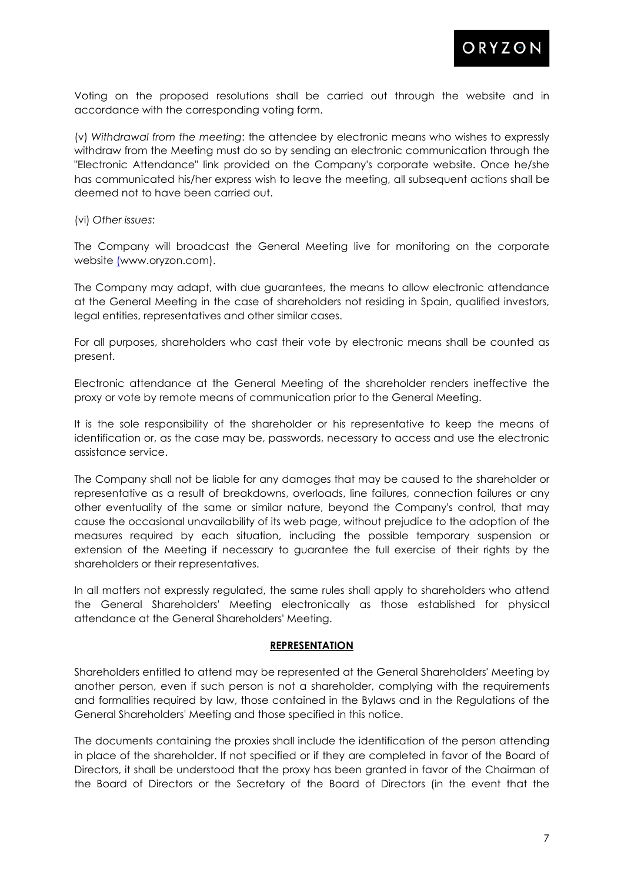

Voting on the proposed resolutions shall be carried out through the website and in accordance with the corresponding voting form.

(v) *Withdrawal from the meeting*: the attendee by electronic means who wishes to expressly withdraw from the Meeting must do so by sending an electronic communication through the "Electronic Attendance" link provided on the Company's corporate website. Once he/she has communicated his/her express wish to leave the meeting, all subsequent actions shall be deemed not to have been carried out.

(vi) *Other issues*:

The Company will broadcast the General Meeting live for monitoring on the corporate website [\(w](http://www.oryzon.com/)ww.oryzon.com).

The Company may adapt, with due guarantees, the means to allow electronic attendance at the General Meeting in the case of shareholders not residing in Spain, qualified investors, legal entities, representatives and other similar cases.

For all purposes, shareholders who cast their vote by electronic means shall be counted as present.

Electronic attendance at the General Meeting of the shareholder renders ineffective the proxy or vote by remote means of communication prior to the General Meeting.

It is the sole responsibility of the shareholder or his representative to keep the means of identification or, as the case may be, passwords, necessary to access and use the electronic assistance service.

The Company shall not be liable for any damages that may be caused to the shareholder or representative as a result of breakdowns, overloads, line failures, connection failures or any other eventuality of the same or similar nature, beyond the Company's control, that may cause the occasional unavailability of its web page, without prejudice to the adoption of the measures required by each situation, including the possible temporary suspension or extension of the Meeting if necessary to guarantee the full exercise of their rights by the shareholders or their representatives.

In all matters not expressly regulated, the same rules shall apply to shareholders who attend the General Shareholders' Meeting electronically as those established for physical attendance at the General Shareholders' Meeting.

#### **REPRESENTATION**

Shareholders entitled to attend may be represented at the General Shareholders' Meeting by another person, even if such person is not a shareholder, complying with the requirements and formalities required by law, those contained in the Bylaws and in the Regulations of the General Shareholders' Meeting and those specified in this notice.

The documents containing the proxies shall include the identification of the person attending in place of the shareholder. If not specified or if they are completed in favor of the Board of Directors, it shall be understood that the proxy has been granted in favor of the Chairman of the Board of Directors or the Secretary of the Board of Directors (in the event that the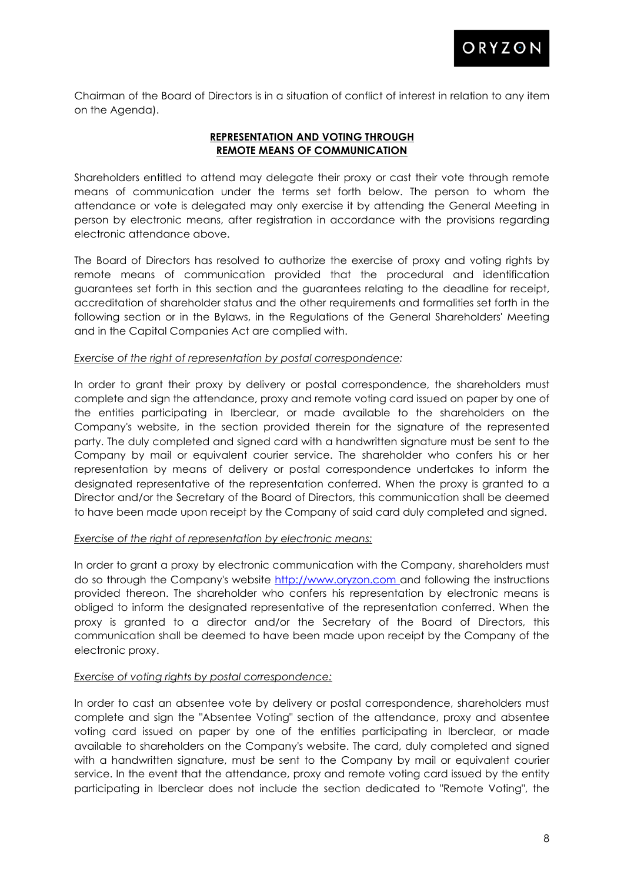

Chairman of the Board of Directors is in a situation of conflict of interest in relation to any item on the Agenda).

# **REPRESENTATION AND VOTING THROUGH REMOTE MEANS OF COMMUNICATION**

Shareholders entitled to attend may delegate their proxy or cast their vote through remote means of communication under the terms set forth below. The person to whom the attendance or vote is delegated may only exercise it by attending the General Meeting in person by electronic means, after registration in accordance with the provisions regarding electronic attendance above.

The Board of Directors has resolved to authorize the exercise of proxy and voting rights by remote means of communication provided that the procedural and identification guarantees set forth in this section and the guarantees relating to the deadline for receipt, accreditation of shareholder status and the other requirements and formalities set forth in the following section or in the Bylaws, in the Regulations of the General Shareholders' Meeting and in the Capital Companies Act are complied with.

## *Exercise of the right of representation by postal correspondence:*

In order to grant their proxy by delivery or postal correspondence, the shareholders must complete and sign the attendance, proxy and remote voting card issued on paper by one of the entities participating in Iberclear, or made available to the shareholders on the Company's website, in the section provided therein for the signature of the represented party. The duly completed and signed card with a handwritten signature must be sent to the Company by mail or equivalent courier service. The shareholder who confers his or her representation by means of delivery or postal correspondence undertakes to inform the designated representative of the representation conferred. When the proxy is granted to a Director and/or the Secretary of the Board of Directors, this communication shall be deemed to have been made upon receipt by the Company of said card duly completed and signed.

## *Exercise of the right of representation by electronic means:*

In order to grant a proxy by electronic communication with the Company, shareholders must do so through the Company's website [http://www.oryzon.com a](http://www.oryzon.com/)nd following the instructions provided thereon. The shareholder who confers his representation by electronic means is obliged to inform the designated representative of the representation conferred. When the proxy is granted to a director and/or the Secretary of the Board of Directors, this communication shall be deemed to have been made upon receipt by the Company of the electronic proxy.

# *Exercise of voting rights by postal correspondence:*

In order to cast an absentee vote by delivery or postal correspondence, shareholders must complete and sign the "Absentee Voting" section of the attendance, proxy and absentee voting card issued on paper by one of the entities participating in Iberclear, or made available to shareholders on the Company's website. The card, duly completed and signed with a handwritten signature, must be sent to the Company by mail or equivalent courier service. In the event that the attendance, proxy and remote voting card issued by the entity participating in Iberclear does not include the section dedicated to "Remote Voting", the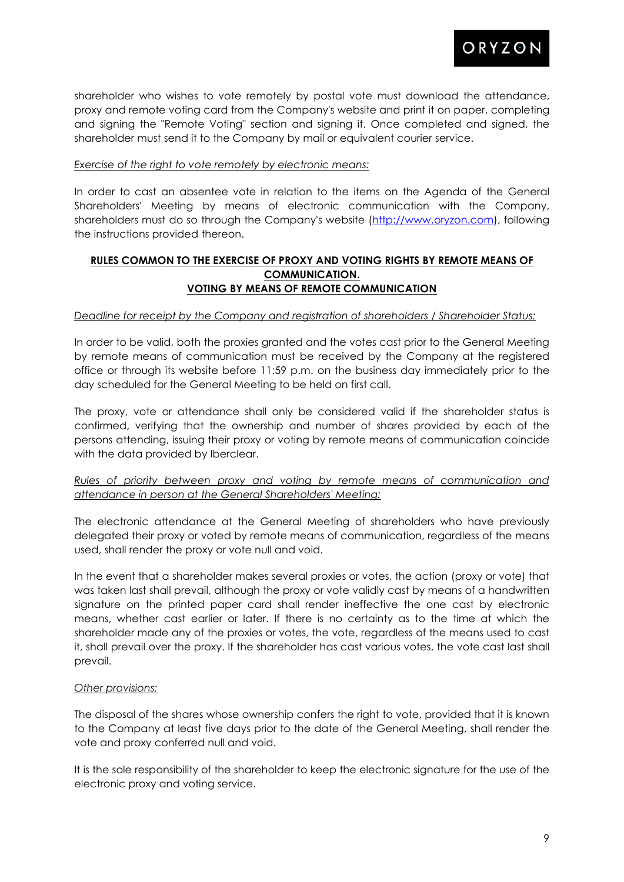

shareholder who wishes to vote remotely by postal vote must download the attendance, proxy and remote voting card from the Company's website and print it on paper, completing and signing the "Remote Voting" section and signing it. Once completed and signed, the shareholder must send it to the Company by mail or equivalent courier service.

## *Exercise of the right to vote remotely by electronic means:*

In order to cast an absentee vote in relation to the items on the Agenda of the General Shareholders' Meeting by means of electronic communication with the Company, shareholders must do so through the Company's website [\(http://www.oryzon.com\)](http://www.oryzon.com/), following the instructions provided thereon.

## **RULES COMMON TO THE EXERCISE OF PROXY AND VOTING RIGHTS BY REMOTE MEANS OF COMMUNICATION. VOTING BY MEANS OF REMOTE COMMUNICATION**

## *Deadline for receipt by the Company and registration of shareholders / Shareholder Status:*

In order to be valid, both the proxies granted and the votes cast prior to the General Meeting by remote means of communication must be received by the Company at the registered office or through its website before 11:59 p.m. on the business day immediately prior to the day scheduled for the General Meeting to be held on first call.

The proxy, vote or attendance shall only be considered valid if the shareholder status is confirmed, verifying that the ownership and number of shares provided by each of the persons attending, issuing their proxy or voting by remote means of communication coincide with the data provided by Iberclear.

## *Rules of priority between proxy and voting by remote means of communication and attendance in person at the General Shareholders' Meeting:*

The electronic attendance at the General Meeting of shareholders who have previously delegated their proxy or voted by remote means of communication, regardless of the means used, shall render the proxy or vote null and void.

In the event that a shareholder makes several proxies or votes, the action (proxy or vote) that was taken last shall prevail, although the proxy or vote validly cast by means of a handwritten signature on the printed paper card shall render ineffective the one cast by electronic means, whether cast earlier or later. If there is no certainty as to the time at which the shareholder made any of the proxies or votes, the vote, regardless of the means used to cast it, shall prevail over the proxy. If the shareholder has cast various votes, the vote cast last shall prevail.

## *Other provisions:*

The disposal of the shares whose ownership confers the right to vote, provided that it is known to the Company at least five days prior to the date of the General Meeting, shall render the vote and proxy conferred null and void.

It is the sole responsibility of the shareholder to keep the electronic signature for the use of the electronic proxy and voting service.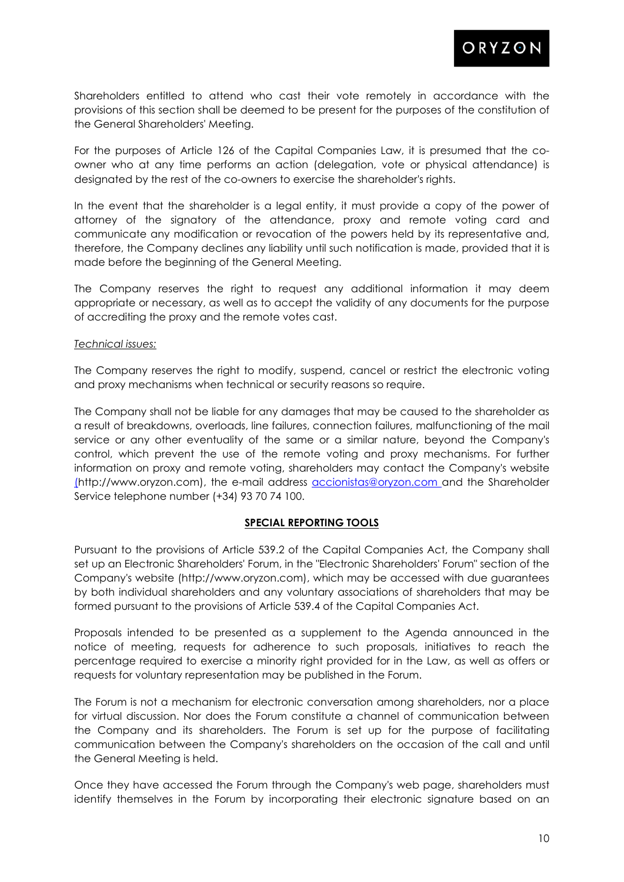

Shareholders entitled to attend who cast their vote remotely in accordance with the provisions of this section shall be deemed to be present for the purposes of the constitution of the General Shareholders' Meeting.

For the purposes of Article 126 of the Capital Companies Law, it is presumed that the coowner who at any time performs an action (delegation, vote or physical attendance) is designated by the rest of the co-owners to exercise the shareholder's rights.

In the event that the shareholder is a legal entity, it must provide a copy of the power of attorney of the signatory of the attendance, proxy and remote voting card and communicate any modification or revocation of the powers held by its representative and, therefore, the Company declines any liability until such notification is made, provided that it is made before the beginning of the General Meeting.

The Company reserves the right to request any additional information it may deem appropriate or necessary, as well as to accept the validity of any documents for the purpose of accrediting the proxy and the remote votes cast.

#### *Technical issues:*

The Company reserves the right to modify, suspend, cancel or restrict the electronic voting and proxy mechanisms when technical or security reasons so require.

The Company shall not be liable for any damages that may be caused to the shareholder as a result of breakdowns, overloads, line failures, connection failures, malfunctioning of the mail service or any other eventuality of the same or a similar nature, beyond the Company's control, which prevent the use of the remote voting and proxy mechanisms. For further information on proxy and remote voting, shareholders may contact the Company's website [\(h](http://www.oryzon.com/)ttp://www.oryzon.com), the e-mail address [accionistas@oryzon.com a](mailto:accionistas@oryzon.com)nd the Shareholder Service telephone number (+34) 93 70 74 100.

## **SPECIAL REPORTING TOOLS**

Pursuant to the provisions of Article 539.2 of the Capital Companies Act, the Company shall set up an Electronic Shareholders' Forum, in the "Electronic Shareholders' Forum" section of the Company's website (http://www.oryzon.com), which may be accessed with due guarantees by both individual shareholders and any voluntary associations of shareholders that may be formed pursuant to the provisions of Article 539.4 of the Capital Companies Act.

Proposals intended to be presented as a supplement to the Agenda announced in the notice of meeting, requests for adherence to such proposals, initiatives to reach the percentage required to exercise a minority right provided for in the Law, as well as offers or requests for voluntary representation may be published in the Forum.

The Forum is not a mechanism for electronic conversation among shareholders, nor a place for virtual discussion. Nor does the Forum constitute a channel of communication between the Company and its shareholders. The Forum is set up for the purpose of facilitating communication between the Company's shareholders on the occasion of the call and until the General Meeting is held.

Once they have accessed the Forum through the Company's web page, shareholders must identify themselves in the Forum by incorporating their electronic signature based on an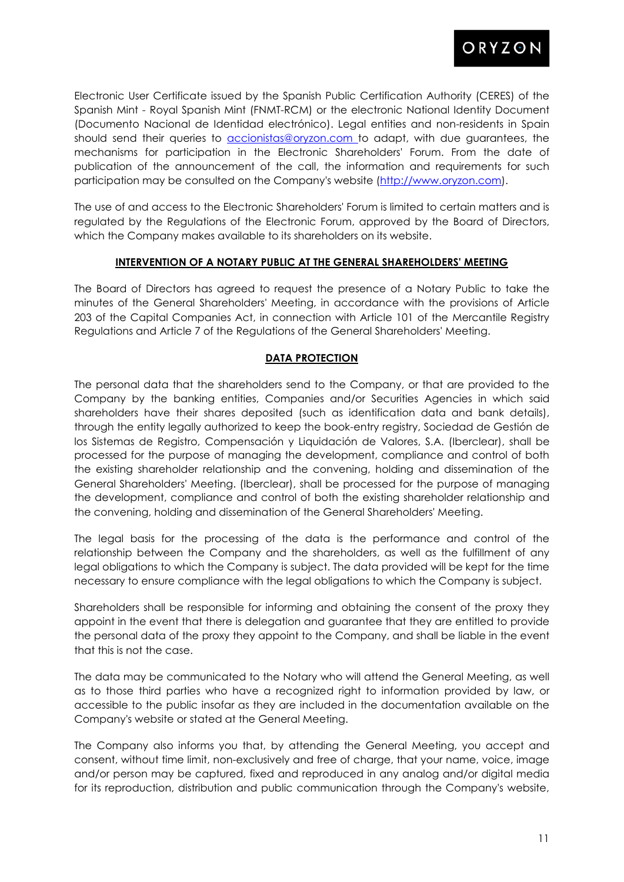

Electronic User Certificate issued by the Spanish Public Certification Authority (CERES) of the Spanish Mint - Royal Spanish Mint (FNMT-RCM) or the electronic National Identity Document (Documento Nacional de Identidad electrónico). Legal entities and non-residents in Spain should send their queries to **accionistas@oryzon.com** to adapt, with due guarantees, the mechanisms for participation in the Electronic Shareholders' Forum. From the date of publication of the announcement of the call, the information and requirements for such participation may be consulted on the Company's website [\(http://www.oryzon.com\)](http://www.oryzon.com/).

The use of and access to the Electronic Shareholders' Forum is limited to certain matters and is regulated by the Regulations of the Electronic Forum, approved by the Board of Directors, which the Company makes available to its shareholders on its website.

## **INTERVENTION OF A NOTARY PUBLIC AT THE GENERAL SHAREHOLDERS' MEETING**

The Board of Directors has agreed to request the presence of a Notary Public to take the minutes of the General Shareholders' Meeting, in accordance with the provisions of Article 203 of the Capital Companies Act, in connection with Article 101 of the Mercantile Registry Regulations and Article 7 of the Regulations of the General Shareholders' Meeting.

## **DATA PROTECTION**

The personal data that the shareholders send to the Company, or that are provided to the Company by the banking entities, Companies and/or Securities Agencies in which said shareholders have their shares deposited (such as identification data and bank details), through the entity legally authorized to keep the book-entry registry, Sociedad de Gestión de los Sistemas de Registro, Compensación y Liquidación de Valores, S.A. (Iberclear), shall be processed for the purpose of managing the development, compliance and control of both the existing shareholder relationship and the convening, holding and dissemination of the General Shareholders' Meeting. (Iberclear), shall be processed for the purpose of managing the development, compliance and control of both the existing shareholder relationship and the convening, holding and dissemination of the General Shareholders' Meeting.

The legal basis for the processing of the data is the performance and control of the relationship between the Company and the shareholders, as well as the fulfillment of any legal obligations to which the Company is subject. The data provided will be kept for the time necessary to ensure compliance with the legal obligations to which the Company is subject.

Shareholders shall be responsible for informing and obtaining the consent of the proxy they appoint in the event that there is delegation and guarantee that they are entitled to provide the personal data of the proxy they appoint to the Company, and shall be liable in the event that this is not the case.

The data may be communicated to the Notary who will attend the General Meeting, as well as to those third parties who have a recognized right to information provided by law, or accessible to the public insofar as they are included in the documentation available on the Company's website or stated at the General Meeting.

The Company also informs you that, by attending the General Meeting, you accept and consent, without time limit, non-exclusively and free of charge, that your name, voice, image and/or person may be captured, fixed and reproduced in any analog and/or digital media for its reproduction, distribution and public communication through the Company's website,